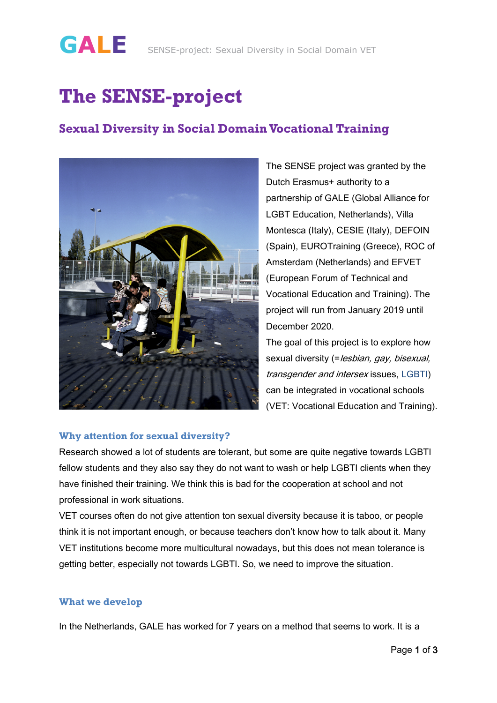# **The SENSE-project**

### **Sexual Diversity in Social Domain Vocational Training**



The SENSE project was granted by the Dutch Erasmus+ authority to a partnership of GALE (Global Alliance for LGBT Education, Netherlands), Villa Montesca (Italy), CESIE (Italy), DEFOIN (Spain), EUROTraining (Greece), ROC of Amsterdam (Netherlands) and EFVET (European Forum of Technical and Vocational Education and Training). The project will run from January 2019 until December 2020.

The goal of this project is to explore how sexual diversity (=lesbian, gay, bisexual, transgender and intersex issues, LGBTI) can be integrated in vocational schools (VET: Vocational Education and Training).

### **Why attention for sexual diversity?**

Research showed a lot of students are tolerant, but some are quite negative towards LGBTI fellow students and they also say they do not want to wash or help LGBTI clients when they have finished their training. We think this is bad for the cooperation at school and not professional in work situations.

VET courses often do not give attention ton sexual diversity because it is taboo, or people think it is not important enough, or because teachers don't know how to talk about it. Many VET institutions become more multicultural nowadays, but this does not mean tolerance is getting better, especially not towards LGBTI. So, we need to improve the situation.

### **What we develop**

In the Netherlands, GALE has worked for 7 years on a method that seems to work. It is a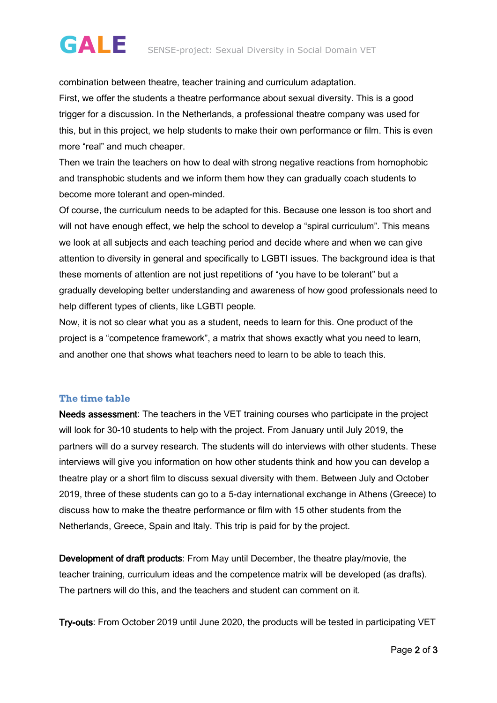## **GALE** SENSE-project: Sexual Diversity in Social Domain VET

combination between theatre, teacher training and curriculum adaptation. First, we offer the students a theatre performance about sexual diversity. This is a good trigger for a discussion. In the Netherlands, a professional theatre company was used for this, but in this project, we help students to make their own performance or film. This is even more "real" and much cheaper.

Then we train the teachers on how to deal with strong negative reactions from homophobic and transphobic students and we inform them how they can gradually coach students to become more tolerant and open-minded.

Of course, the curriculum needs to be adapted for this. Because one lesson is too short and will not have enough effect, we help the school to develop a "spiral curriculum". This means we look at all subjects and each teaching period and decide where and when we can give attention to diversity in general and specifically to LGBTI issues. The background idea is that these moments of attention are not just repetitions of "you have to be tolerant" but a gradually developing better understanding and awareness of how good professionals need to help different types of clients, like LGBTI people.

Now, it is not so clear what you as a student, needs to learn for this. One product of the project is a "competence framework", a matrix that shows exactly what you need to learn, and another one that shows what teachers need to learn to be able to teach this.

#### **The time table**

Needs assessment: The teachers in the VET training courses who participate in the project will look for 30-10 students to help with the project. From January until July 2019, the partners will do a survey research. The students will do interviews with other students. These interviews will give you information on how other students think and how you can develop a theatre play or a short film to discuss sexual diversity with them. Between July and October 2019, three of these students can go to a 5-day international exchange in Athens (Greece) to discuss how to make the theatre performance or film with 15 other students from the Netherlands, Greece, Spain and Italy. This trip is paid for by the project.

Development of draft products: From May until December, the theatre play/movie, the teacher training, curriculum ideas and the competence matrix will be developed (as drafts). The partners will do this, and the teachers and student can comment on it.

Try-outs: From October 2019 until June 2020, the products will be tested in participating VET